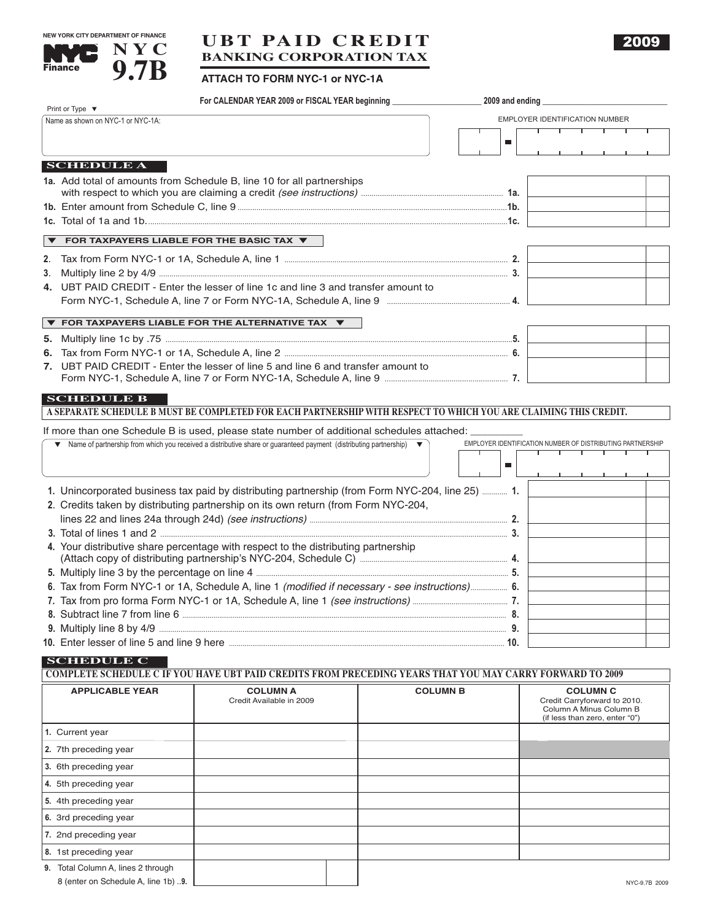



# **UBT PAID CREDIT BANKING CORPORATION TAX**

## **ATTACH TO FORM NYC-1 or NYC-1A**

|                                                                                                          | For CALENDAR YEAR 2009 or FISCAL YEAR beginning                                                                     |                 |                                                            |  |  |  |  |
|----------------------------------------------------------------------------------------------------------|---------------------------------------------------------------------------------------------------------------------|-----------------|------------------------------------------------------------|--|--|--|--|
| Print or Type $\blacktriangledown$<br>Name as shown on NYC-1 or NYC-1A:                                  |                                                                                                                     |                 | EMPLOYER IDENTIFICATION NUMBER                             |  |  |  |  |
|                                                                                                          |                                                                                                                     |                 | <del>, , , , , , , , , ,</del>                             |  |  |  |  |
|                                                                                                          |                                                                                                                     |                 | ш                                                          |  |  |  |  |
| <b>SCHEDULE A</b>                                                                                        |                                                                                                                     |                 |                                                            |  |  |  |  |
|                                                                                                          | 1a. Add total of amounts from Schedule B, line 10 for all partnerships                                              |                 |                                                            |  |  |  |  |
|                                                                                                          |                                                                                                                     |                 |                                                            |  |  |  |  |
|                                                                                                          |                                                                                                                     |                 |                                                            |  |  |  |  |
|                                                                                                          |                                                                                                                     |                 |                                                            |  |  |  |  |
| FOR TAXPAYERS LIABLE FOR THE BASIC TAX ▼                                                                 |                                                                                                                     |                 |                                                            |  |  |  |  |
| 2.                                                                                                       |                                                                                                                     |                 |                                                            |  |  |  |  |
|                                                                                                          |                                                                                                                     |                 |                                                            |  |  |  |  |
| 4. UBT PAID CREDIT - Enter the lesser of line 1c and line 3 and transfer amount to                       |                                                                                                                     |                 |                                                            |  |  |  |  |
|                                                                                                          |                                                                                                                     |                 |                                                            |  |  |  |  |
|                                                                                                          | $\blacktriangledown$ FOR TAXPAYERS LIABLE FOR THE ALTERNATIVE TAX $\blacktriangledown$                              |                 |                                                            |  |  |  |  |
|                                                                                                          |                                                                                                                     |                 |                                                            |  |  |  |  |
|                                                                                                          |                                                                                                                     |                 |                                                            |  |  |  |  |
| 7. UBT PAID CREDIT - Enter the lesser of line 5 and line 6 and transfer amount to                        |                                                                                                                     |                 |                                                            |  |  |  |  |
|                                                                                                          |                                                                                                                     |                 |                                                            |  |  |  |  |
| <b>SCHEDULE B</b>                                                                                        |                                                                                                                     |                 |                                                            |  |  |  |  |
|                                                                                                          | A SEPARATE SCHEDULE B MUST BE COMPLETED FOR EACH PARTNERSHIP WITH RESPECT TO WHICH YOU ARE CLAIMING THIS CREDIT.    |                 |                                                            |  |  |  |  |
| If more than one Schedule B is used, please state number of additional schedules attached: ________      |                                                                                                                     |                 |                                                            |  |  |  |  |
|                                                                                                          | Name of partnership from which you received a distributive share or guaranteed payment (distributing partnership) ▼ |                 | EMPLOYER IDENTIFICATION NUMBER OF DISTRIBUTING PARTNERSHIP |  |  |  |  |
|                                                                                                          |                                                                                                                     |                 | $\blacksquare$                                             |  |  |  |  |
|                                                                                                          |                                                                                                                     |                 | the contract of the contract of the                        |  |  |  |  |
|                                                                                                          | 1. Unincorporated business tax paid by distributing partnership (from Form NYC-204, line 25)  1.                    |                 |                                                            |  |  |  |  |
|                                                                                                          | 2. Credits taken by distributing partnership on its own return (from Form NYC-204,                                  |                 |                                                            |  |  |  |  |
|                                                                                                          |                                                                                                                     |                 |                                                            |  |  |  |  |
|                                                                                                          |                                                                                                                     |                 |                                                            |  |  |  |  |
| 4. Your distributive share percentage with respect to the distributing partnership                       |                                                                                                                     |                 |                                                            |  |  |  |  |
| 5. Multiply line 3 by the percentage on line 4 manufacture manufacture manufacture manufacture 3.        |                                                                                                                     |                 |                                                            |  |  |  |  |
| 6. Tax from Form NYC-1 or 1A, Schedule A, line 1 (modified if necessary - see instructions) 6.           |                                                                                                                     |                 |                                                            |  |  |  |  |
|                                                                                                          |                                                                                                                     |                 |                                                            |  |  |  |  |
|                                                                                                          |                                                                                                                     |                 |                                                            |  |  |  |  |
|                                                                                                          |                                                                                                                     |                 |                                                            |  |  |  |  |
|                                                                                                          |                                                                                                                     |                 |                                                            |  |  |  |  |
| <b>SCHEDULE C</b>                                                                                        |                                                                                                                     |                 |                                                            |  |  |  |  |
| COMPLETE SCHEDULE C IF YOU HAVE UBT PAID CREDITS FROM PRECEDING YEARS THAT YOU MAY CARRY FORWARD TO 2009 |                                                                                                                     |                 |                                                            |  |  |  |  |
| <b>APPLICABLE YEAR</b>                                                                                   | <b>COLUMN A</b>                                                                                                     | <b>COLUMN B</b> | <b>COLUMN C</b>                                            |  |  |  |  |
|                                                                                                          | Credit Available in 2009                                                                                            |                 | Credit Carryforward to 2010.<br>Column A Minus Column B    |  |  |  |  |
|                                                                                                          |                                                                                                                     |                 | (if less than zero, enter "0")                             |  |  |  |  |
| 1. Current year                                                                                          |                                                                                                                     |                 |                                                            |  |  |  |  |

|                                    |  | $\mu$ icas tright zero, errier $\sigma$ ) |
|------------------------------------|--|-------------------------------------------|
| 1. Current year                    |  |                                           |
| 2. 7th preceding year              |  |                                           |
| 3. 6th preceding year              |  |                                           |
| 4. 5th preceding year              |  |                                           |
| 5. 4th preceding year              |  |                                           |
| 6. 3rd preceding year              |  |                                           |
| 7. 2nd preceding year              |  |                                           |
| 8. 1st preceding year              |  |                                           |
| 9. Total Column A, lines 2 through |  |                                           |

8 (enter on Schedule A, line 1b) ..9. **NAC-9.7B** 2009